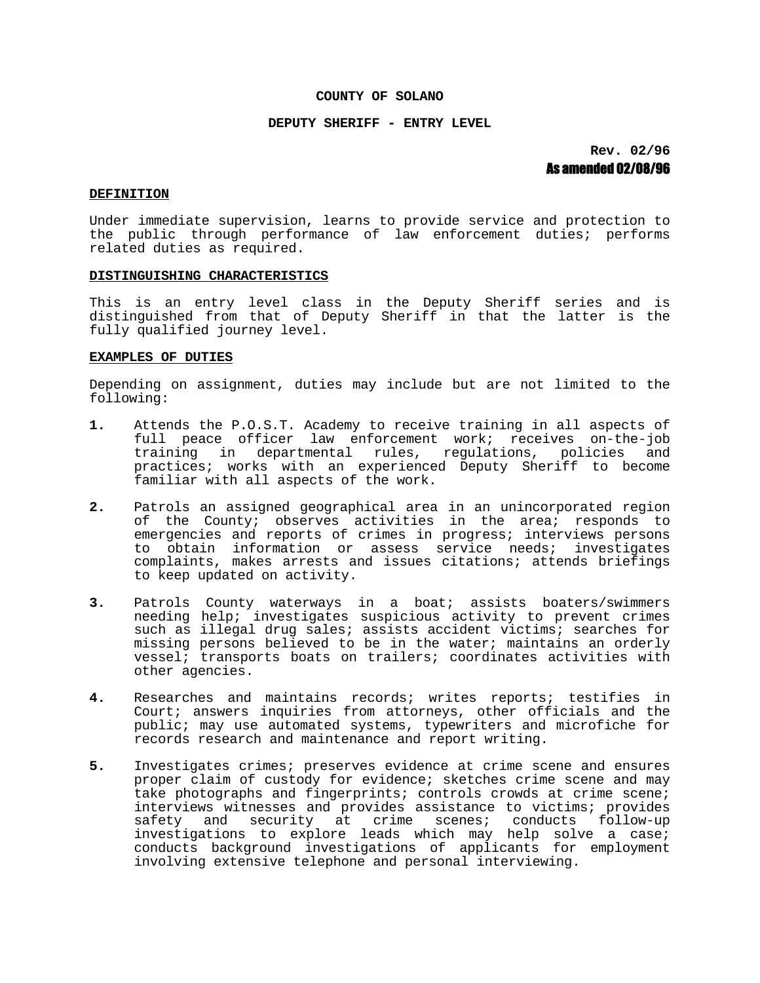### **COUNTY OF SOLANO**

### **DEPUTY SHERIFF - ENTRY LEVEL**

**Rev. 02/96** As amended 02/08/96

#### **DEFINITION**

Under immediate supervision, learns to provide service and protection to the public through performance of law enforcement duties; performs related duties as required.

#### **DISTINGUISHING CHARACTERISTICS**

This is an entry level class in the Deputy Sheriff series and is distinguished from that of Deputy Sheriff in that the latter is the fully qualified journey level.

### **EXAMPLES OF DUTIES**

Depending on assignment, duties may include but are not limited to the following:

- **1.** Attends the P.O.S.T. Academy to receive training in all aspects of full peace officer law enforcement work; receives on-the-job training in departmental rules, regulations, policies and practices; works with an experienced Deputy Sheriff to become familiar with all aspects of the work.
- **2.** Patrols an assigned geographical area in an unincorporated region of the County; observes activities in the area; responds to emergencies and reports of crimes in progress; interviews persons to obtain information or assess service needs; investigates complaints, makes arrests and issues citations; attends briefings to keep updated on activity.
- **3.** Patrols County waterways in a boat; assists boaters/swimmers needing help; investigates suspicious activity to prevent crimes such as illegal drug sales; assists accident victims; searches for missing persons believed to be in the water; maintains an orderly vessel; transports boats on trailers; coordinates activities with other agencies.
- **4.** Researches and maintains records; writes reports; testifies in Court; answers inquiries from attorneys, other officials and the public; may use automated systems, typewriters and microfiche for records research and maintenance and report writing.
- **5.** Investigates crimes; preserves evidence at crime scene and ensures proper claim of custody for evidence; sketches crime scene and may take photographs and fingerprints; controls crowds at crime scene; interviews witnesses and provides assistance to victims; provides safety and security at crime scenes; conducts follow-up investigations to explore leads which may help solve a case; conducts background investigations of applicants for employment involving extensive telephone and personal interviewing.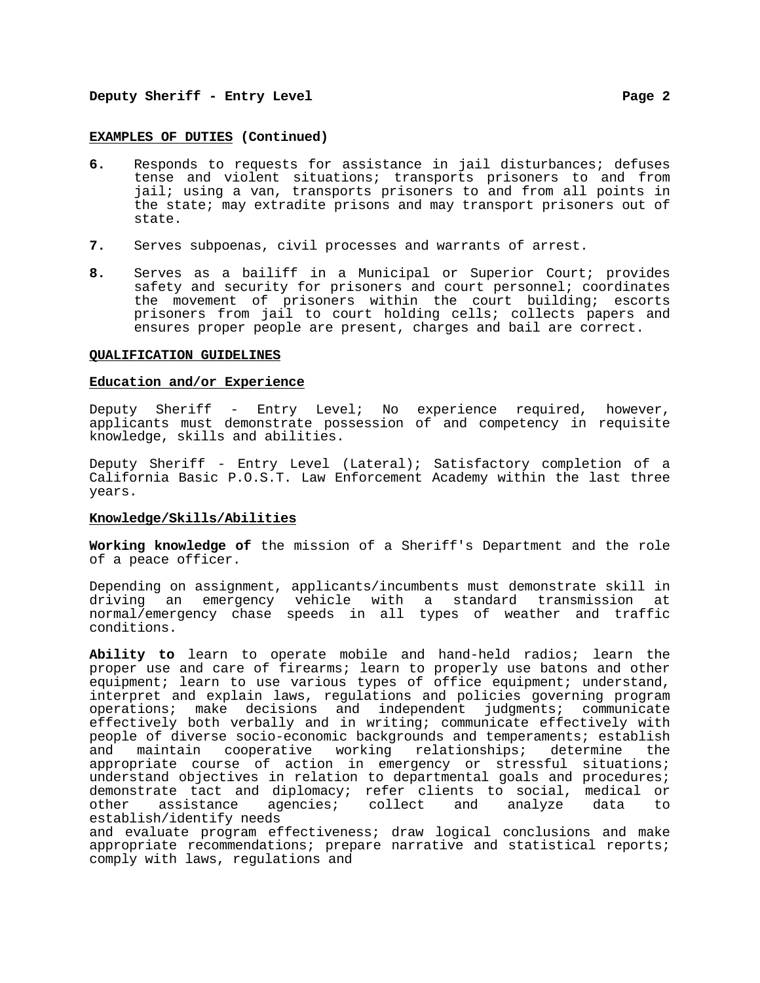# **Deputy Sheriff - Entry Level Page 2**

#### **EXAMPLES OF DUTIES (Continued)**

- **6.** Responds to requests for assistance in jail disturbances; defuses tense and violent situations; transports prisoners to and from jail; using a van, transports prisoners to and from all points in the state; may extradite prisons and may transport prisoners out of state.
- **7.** Serves subpoenas, civil processes and warrants of arrest.
- **8.** Serves as a bailiff in a Municipal or Superior Court; provides safety and security for prisoners and court personnel; coordinates the movement of prisoners within the court building; escorts prisoners from jail to court holding cells; collects papers and ensures proper people are present, charges and bail are correct.

#### **QUALIFICATION GUIDELINES**

# **Education and/or Experience**

Deputy Sheriff - Entry Level; No experience required, however, applicants must demonstrate possession of and competency in requisite knowledge, skills and abilities.

Deputy Sheriff - Entry Level (Lateral); Satisfactory completion of a California Basic P.O.S.T. Law Enforcement Academy within the last three years.

# **Knowledge/Skills/Abilities**

**Working knowledge of** the mission of a Sheriff's Department and the role of a peace officer.

Depending on assignment, applicants/incumbents must demonstrate skill in driving an emergency vehicle with a standard transmission at normal/emergency chase speeds in all types of weather and traffic conditions.

**Ability to** learn to operate mobile and hand-held radios; learn the proper use and care of firearms; learn to properly use batons and other equipment; learn to use various types of office equipment; understand, interpret and explain laws, regulations and policies governing program operations; make decisions and independent judgments; communicate effectively both verbally and in writing; communicate effectively with people of diverse socio-economic backgrounds and temperaments; establish<br>and maintain cooperative working relationships; determine the and maintain cooperative working relationships; determine the appropriate course of action in emergency or stressful situations; understand objectives in relation to departmental goals and procedures; demonstrate tact and diplomacy; refer clients to social, medical or<br>other assistance agencies; collect and analyze data to other assistance agencies; collect and analyze data to establish/identify needs

and evaluate program effectiveness; draw logical conclusions and make appropriate recommendations; prepare narrative and statistical reports; comply with laws, regulations and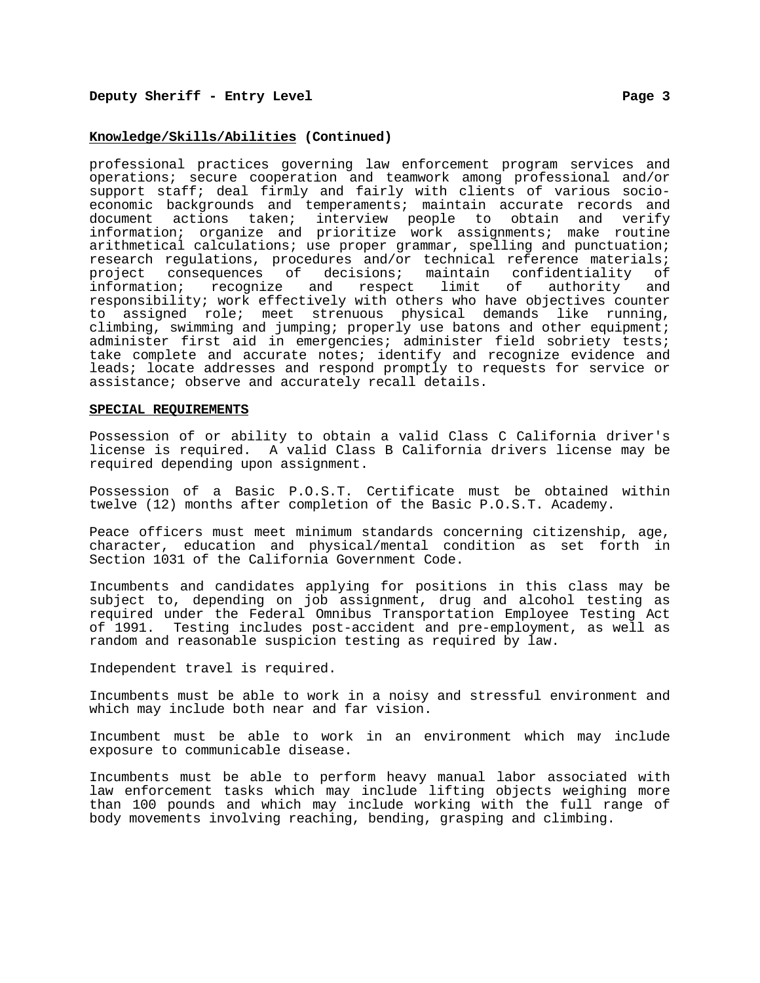### **Knowledge/Skills/Abilities (Continued)**

professional practices governing law enforcement program services and operations; secure cooperation and teamwork among professional and/or support staff; deal firmly and fairly with clients of various socioeconomic backgrounds and temperaments; maintain accurate records and document actions taken; interview people to obtain and verify information; organize and prioritize work assignments; make routine arithmetical calculations; use proper grammar, spelling and punctuation; research regulations, procedures and/or technical reference materials; project consequences of decisions; maintain confidentiality of information; recognize and respect limit of authority and responsibility; work effectively with others who have objectives counter to assigned role; meet strenuous physical demands like running, climbing, swimming and jumping; properly use batons and other equipment; administer first aid in emergencies; administer field sobriety tests; take complete and accurate notes; identify and recognize evidence and leads; locate addresses and respond promptly to requests for service or assistance; observe and accurately recall details.

#### **SPECIAL REQUIREMENTS**

Possession of or ability to obtain a valid Class C California driver's license is required. A valid Class B California drivers license may be required depending upon assignment.

Possession of a Basic P.O.S.T. Certificate must be obtained within twelve (12) months after completion of the Basic P.O.S.T. Academy.

Peace officers must meet minimum standards concerning citizenship, age, character, education and physical/mental condition as set forth in Section 1031 of the California Government Code.

Incumbents and candidates applying for positions in this class may be subject to, depending on job assignment, drug and alcohol testing as required under the Federal Omnibus Transportation Employee Testing Act of 1991. Testing includes post-accident and pre-employment, as well as random and reasonable suspicion testing as required by law.

Independent travel is required.

Incumbents must be able to work in a noisy and stressful environment and which may include both near and far vision.

Incumbent must be able to work in an environment which may include exposure to communicable disease.

Incumbents must be able to perform heavy manual labor associated with law enforcement tasks which may include lifting objects weighing more than 100 pounds and which may include working with the full range of body movements involving reaching, bending, grasping and climbing.